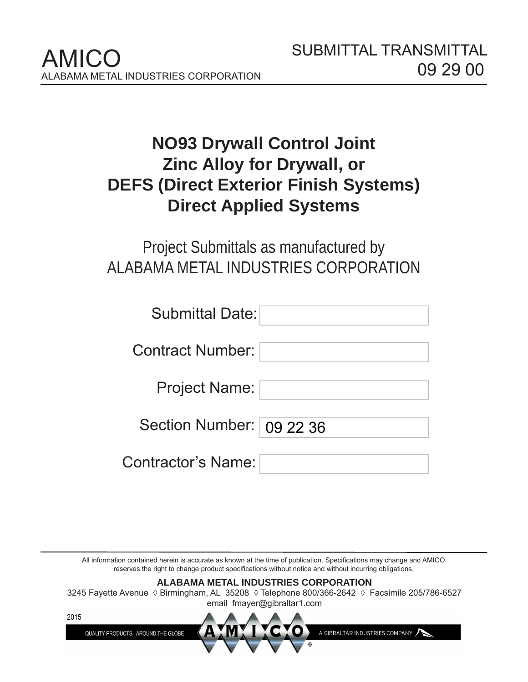# **NO93 Drywall Control Joint Zinc Alloy for Drywall, or DEFS (Direct Exterior Finish Systems) Direct Applied Systems**

# Project Submittals as manufactured by ALABAMA METAL INDUSTRIES CORPORATION

| <b>Submittal Date:</b>     |
|----------------------------|
| Contract Number:           |
| <b>Project Name:</b>       |
| Section Number:   09 22 36 |
| Contractor's Name:         |

All information contained herein is accurate as known at the time of publication. Specifications may change and AMICO reserves the right to change product specifications without notice and without incurring obligations.

# **ALABAMA METAL INDUSTRIES CORPORATION** 3245 Fayette Avenue ◊ Birmingham, AL 35208 ◊ Telephone 800/366-2642 ◊ Facsimile 205/786-6527 email fmayer@gibraltar1.com 2015

A GIBRALTAR INDUSTRIES COMPANY

QUALITY PRODUCTS - AROUND THE GLOBE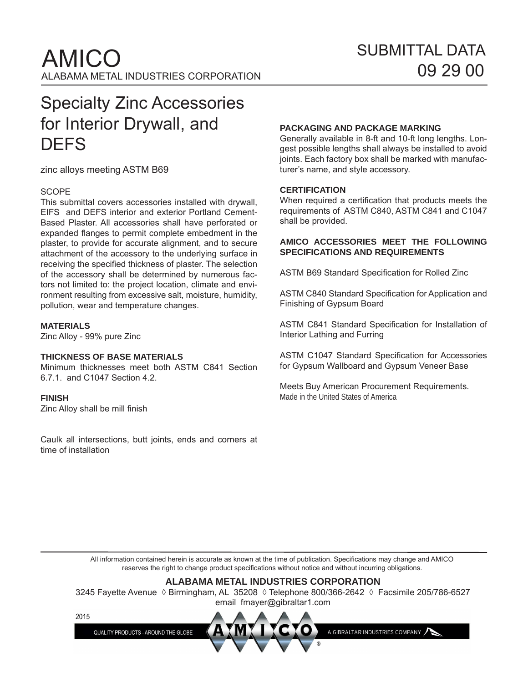# Specialty Zinc Accessories for Interior Drywall, and **DEFS**

zinc alloys meeting ASTM B69

### **SCOPE**

This submittal covers accessories installed with drywall, EIFS and DEFS interior and exterior Portland Cement-Based Plaster. All accessories shall have perforated or expanded flanges to permit complete embedment in the plaster, to provide for accurate alignment, and to secure attachment of the accessory to the underlying surface in receiving the specified thickness of plaster. The selection of the accessory shall be determined by numerous factors not limited to: the project location, climate and environment resulting from excessive salt, moisture, humidity, pollution, wear and temperature changes.

### **MATERIALS**

Zinc Alloy - 99% pure Zinc

### **THICKNESS OF BASE MATERIALS**

Minimum thicknesses meet both ASTM C841 Section 6.7.1. and C1047 Section 4.2.

### **FINISH**

Zinc Alloy shall be mill finish

Caulk all intersections, butt joints, ends and corners at time of installation

## **PACKAGING AND PACKAGE MARKING**

Generally available in 8-ft and 10-ft long lengths. Longest possible lengths shall always be installed to avoid joints. Each factory box shall be marked with manufacturer's name, and style accessory.

### **CERTIFICATION**

When required a certification that products meets the requirements of ASTM C840, ASTM C841 and C1047 shall be provided.

### **AMICO ACCESSORIES MEET THE FOLLOWING SPECIFICATIONS AND REQUIREMENTS**

ASTM B69 Standard Specification for Rolled Zinc

ASTM C840 Standard Specification for Application and Finishing of Gypsum Board

ASTM C841 Standard Specification for Installation of Interior Lathing and Furring

ASTM C1047 Standard Specification for Accessories for Gypsum Wallboard and Gypsum Veneer Base

Meets Buy American Procurement Requirements. Made in the United States of America

All information contained herein is accurate as known at the time of publication. Specifications may change and AMICO reserves the right to change product specifications without notice and without incurring obligations.

### **ALABAMA METAL INDUSTRIES CORPORATION**

3245 Fayette Avenue ◊ Birmingham, AL 35208 ◊ Telephone 800/366-2642 ◊ Facsimile 205/786-6527 email fmayer@gibraltar1.com



QUALITY PRODUCTS - AROUND THE GLOBE